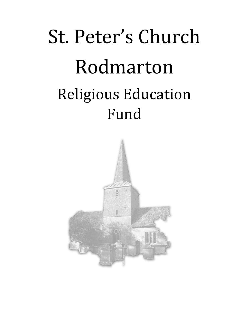## St. Peter's Church Rodmarton Religious Education Fund

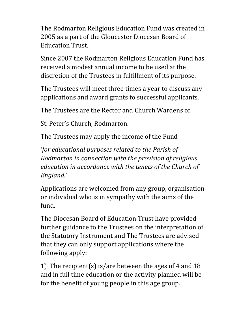The Rodmarton Religious Education Fund was created in 2005 as a part of the Gloucester Diocesan Board of Education Trust.

Since 2007 the Rodmarton Religious Education Fund has received a modest annual income to be used at the discretion of the Trustees in fulfillment of its purpose.

The Trustees will meet three times a year to discuss any applications and award grants to successful applicants.

The Trustees are the Rector and Church Wardens of

St. Peter's Church, Rodmarton.

The Trustees may apply the income of the Fund

'*for educational purposes related to the Parish of Rodmarton in connection with the provision of religious education in accordance with the tenets of the Church of England.*'

Applications are welcomed from any group, organisation or individual who is in sympathy with the aims of the fund.

The Diocesan Board of Education Trust have provided further guidance to the Trustees on the interpretation of the Statutory Instrument and The Trustees are advised that they can only support applications where the following apply:

1) The recipient(s) is/are between the ages of 4 and 18 and in full time education or the activity planned will be for the benefit of young people in this age group.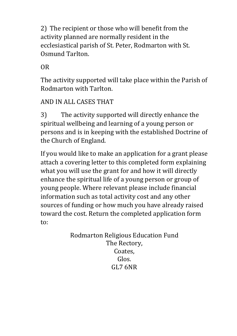2) The recipient or those who will benefit from the activity planned are normally resident in the ecclesiastical parish of St. Peter, Rodmarton with St. Osmund Tarlton.

OR

The activity supported will take place within the Parish of Rodmarton with Tarlton.

## AND IN ALL CASES THAT

3) The activity supported will directly enhance the spiritual wellbeing and learning of a young person or persons and is in keeping with the established Doctrine of the Church of England.

If you would like to make an application for a grant please attach a covering letter to this completed form explaining what you will use the grant for and how it will directly enhance the spiritual life of a young person or group of young people. Where relevant please include financial information such as total activity cost and any other sources of funding or how much you have already raised toward the cost. Return the completed application form to:

> Rodmarton Religious Education Fund The Rectory, Coates, Glos. GL7 6NR